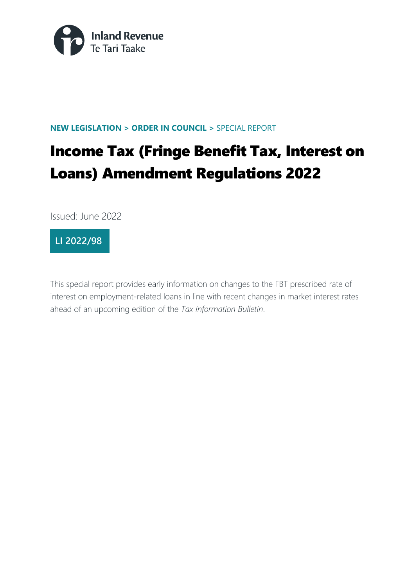

#### **NEW LEGISLATION > ORDER IN COUNCIL >** SPECIAL REPORT

# Income Tax (Fringe Benefit Tax, Interest on Loans) Amendment Regulations 2022

Issued: June 2022



This special report provides early information on changes to the FBT prescribed rate of interest on employment-related loans in line with recent changes in market interest rates ahead of an upcoming edition of the *Tax Information Bulletin*.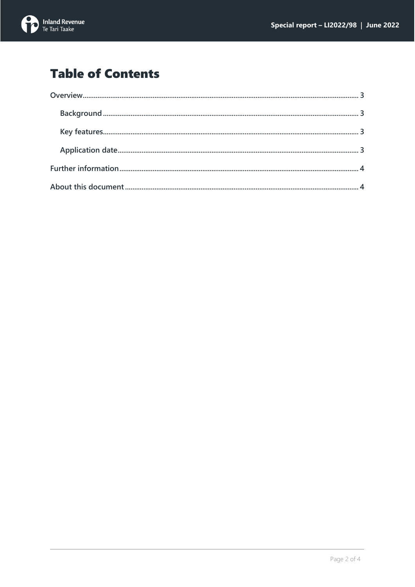

## **Table of Contents**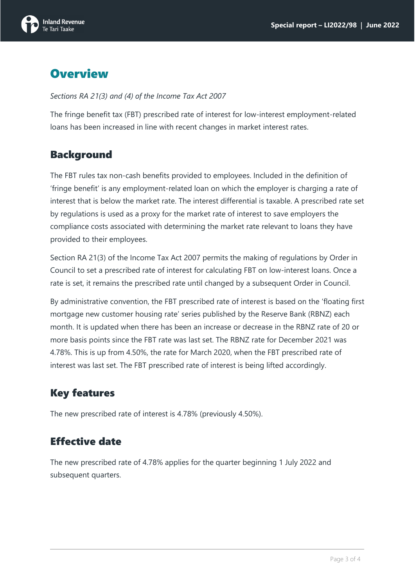

## <span id="page-2-0"></span>**Overview**

<span id="page-2-1"></span>*Sections RA 21(3) and (4) of the Income Tax Act 2007*

The fringe benefit tax (FBT) prescribed rate of interest for low-interest employment-related loans has been increased in line with recent changes in market interest rates.

#### Background

<span id="page-2-2"></span>The FBT rules tax non-cash benefits provided to employees. Included in the definition of 'fringe benefit' is any employment-related loan on which the employer is charging a rate of interest that is below the market rate. The interest differential is taxable. A prescribed rate set by regulations is used as a proxy for the market rate of interest to save employers the compliance costs associated with determining the market rate relevant to loans they have provided to their employees.

Section RA 21(3) of the Income Tax Act 2007 permits the making of regulations by Order in Council to set a prescribed rate of interest for calculating FBT on low-interest loans. Once a rate is set, it remains the prescribed rate until changed by a subsequent Order in Council.

By administrative convention, the FBT prescribed rate of interest is based on the 'floating first mortgage new customer housing rate' series published by the Reserve Bank (RBNZ) each month. It is updated when there has been an increase or decrease in the RBNZ rate of 20 or more basis points since the FBT rate was last set. The RBNZ rate for December 2021 was 4.78%. This is up from 4.50%, the rate for March 2020, when the FBT prescribed rate of interest was last set. The FBT prescribed rate of interest is being lifted accordingly.

### Key features

The new prescribed rate of interest is 4.78% (previously 4.50%).

### <span id="page-2-3"></span>Effective date

<span id="page-2-4"></span>The new prescribed rate of 4.78% applies for the quarter beginning 1 July 2022 and subsequent quarters.